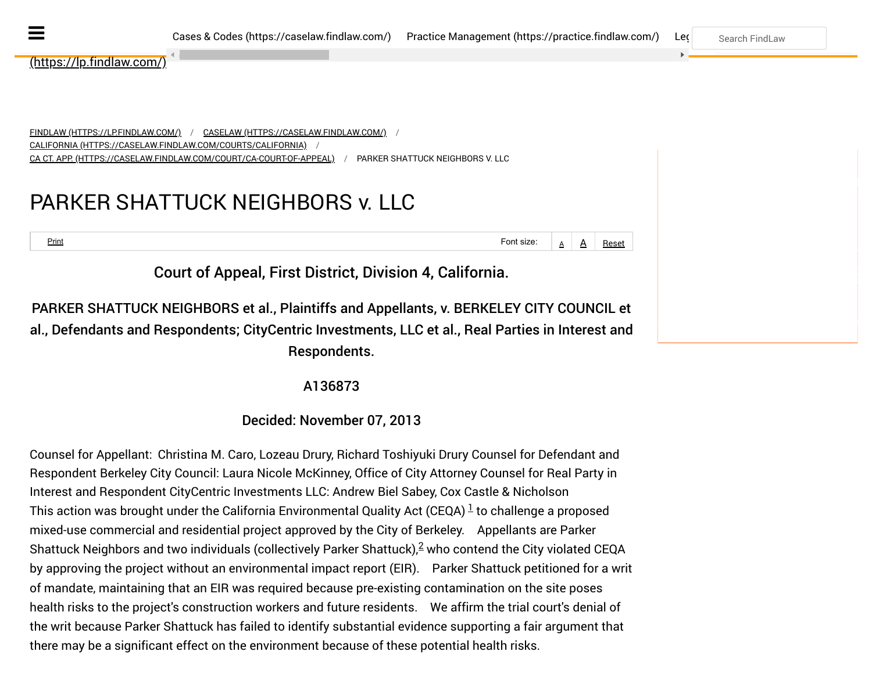--------------- ► ◄ ----------------

<u>[\(https://lp.findlaw.com/\)](https://lp.findlaw.com/)</u>

<u>[FINDLAW \(HTTPS://LP.FINDLAW.COM/\)](https://lp.findlaw.com/)</u> / <u>[CASELAW \(HTTPS://CASELAW.FINDLAW.COM/\)](https://caselaw.findlaw.com/)</u> / [CALIFORNIA \(HTTPS://CASELAW.FINDLAW.COM/COURTS/CALIFORNIA\)](https://caselaw.findlaw.com/courts/California) [CA CT. APP. \(HTTPS://CASELAW.FINDLAW.COM/COURT/CA-COURT-OF-APPEAL\)](https://caselaw.findlaw.com/court/ca-court-of-appeal) / PARKER SHATTUCK NEIGHBORS V. LLC / /

## PARKER SHATTUCK NEIGHBORS v. LLC

 $\frac{\text{Print}}{\text{A}}$  A Reset

Court of Appeal, First District, Division 4, California.

PARKER SHATTUCK NEIGHBORS et al., Plaintiffs and Appellants, v. BERKELEY CITY COUNCIL et al., Defendants and Respondents; CityCentric Investments, LLC et al., Real Parties in Interest and Respondents.

<span id="page-0-1"></span><span id="page-0-0"></span>A136873

Decided: November 07, 2013

Counsel for Appellant:  Christina M. Caro, Lozeau Drury, Richard Toshiyuki Drury Counsel for Defendant and Respondent Berkeley City Council: Laura Nicole McKinney, Office of City Attorney Counsel for Real Party in Interest and Respondent CityCentric Investments LLC: Andrew Biel Sabey, Cox Castle & Nicholson Thisaction was brought under the California Environmental Quality Act (CEQA)  $^{\underline{1}}$  to challenge a proposed mixed-use commercial and residential project approved by the City of Berkeley. Appellants are Parker ShattuckNeighbors and two individuals (collectively Parker Shattuck), $^{2}$  who contend the City violated CEQA by approving the project without an environmental impact report (EIR). Parker Shattuck petitioned for a writ of mandate, maintaining that an EIR was required because pre-existing contamination on the site poses health risks to the project's construction workers and future residents. We affirm the trial court's denial of the writ because Parker Shattuck has failed to identify substantial evidence supporting a fair argument that there may be a significant effect on the environment because of these potential health risks.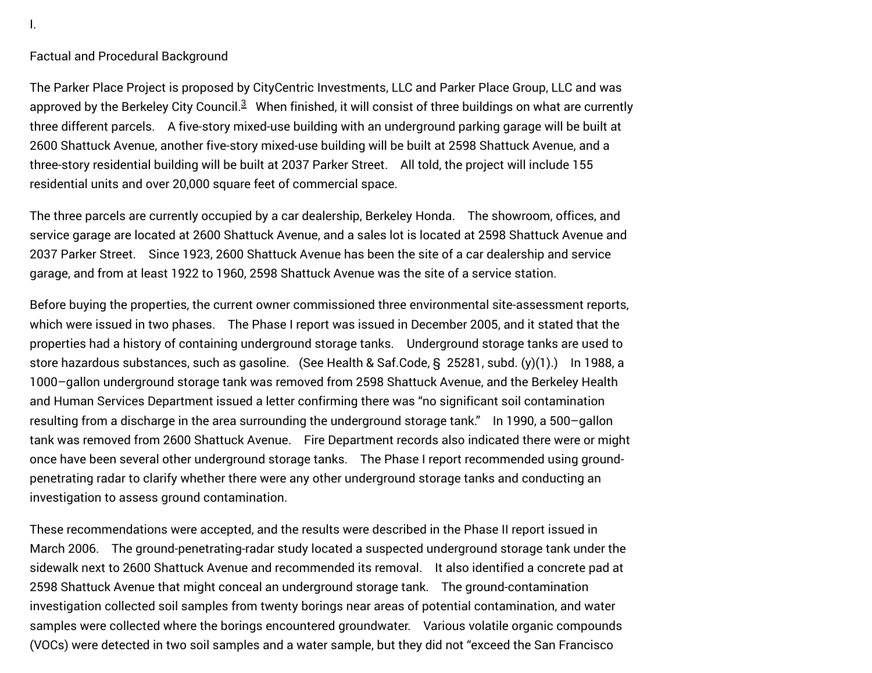Factual and Procedural Background

<span id="page-1-0"></span>The Parker Place Project is proposed by CityCentric Investments, LLC and Parker Place Group, LLC and was approvedby the Berkeley City Council.<sup>3</sup> When finished, it will consist of three buildings on what are currently three different parcels. A five-story mixed-use building with an underground parking garage will be built at 2600 Shattuck Avenue, another five-story mixed-use building will be built at 2598 Shattuck Avenue, and a three-story residential building will be built at 2037 Parker Street. All told, the project will include 155 residential units and over 20,000 square feet of commercial space.

The three parcels are currently occupied by a car dealership, Berkeley Honda. The showroom, offices, and service garage are located at 2600 Shattuck Avenue, and a sales lot is located at 2598 Shattuck Avenue and 2037 Parker Street. Since 1923, 2600 Shattuck Avenue has been the site of a car dealership and service garage, and from at least 1922 to 1960, 2598 Shattuck Avenue was the site of a service station.

Before buying the properties, the current owner commissioned three environmental site-assessment reports, which were issued in two phases. The Phase I report was issued in December 2005, and it stated that the properties had a history of containing underground storage tanks. Underground storage tanks are used to store hazardous substances, such as gasoline. (See Health & Saf.Code, § 25281, subd. (y)(1).) In 1988, a 1000–gallon underground storage tank was removed from 2598 Shattuck Avenue, and the Berkeley Health and Human Services Department issued a letter confirming there was "no significant soil contamination resulting from a discharge in the area surrounding the underground storage tank." In 1990, a 500–gallon tank was removed from 2600 Shattuck Avenue. Fire Department records also indicated there were or might once have been several other underground storage tanks. The Phase I report recommended using groundpenetrating radar to clarify whether there were any other underground storage tanks and conducting an investigation to assess ground contamination.

These recommendations were accepted, and the results were described in the Phase II report issued in March 2006. The ground-penetrating-radar study located a suspected underground storage tank under the sidewalk next to 2600 Shattuck Avenue and recommended its removal. It also identified a concrete pad at 2598 Shattuck Avenue that might conceal an underground storage tank. The ground-contamination investigation collected soil samples from twenty borings near areas of potential contamination, and water samples were collected where the borings encountered groundwater. Various volatile organic compounds (VOCs) were detected in two soil samples and a water sample, but they did not "exceed the San Francisco

I.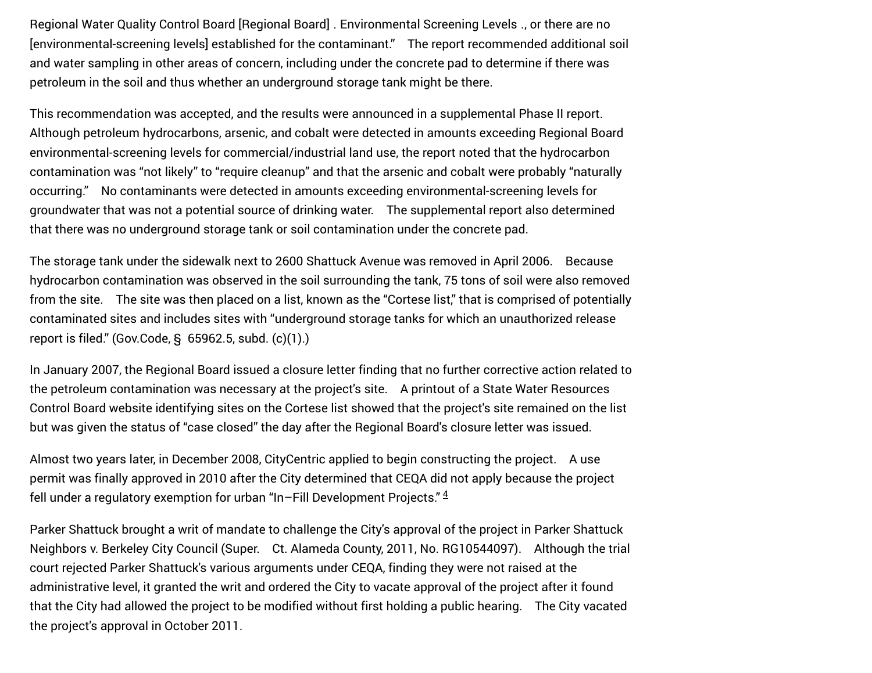Regional Water Quality Control Board [Regional Board] ․ Environmental Screening Levels ․, or there are no [environmental-screening levels] established for the contaminant." The report recommended additional soil and water sampling in other areas of concern, including under the concrete pad to determine if there was petroleum in the soil and thus whether an underground storage tank might be there.

This recommendation was accepted, and the results were announced in a supplemental Phase II report. Although petroleum hydrocarbons, arsenic, and cobalt were detected in amounts exceeding Regional Board environmental-screening levels for commercial/industrial land use, the report noted that the hydrocarbon contamination was "not likely" to "require cleanup" and that the arsenic and cobalt were probably "naturally occurring." No contaminants were detected in amounts exceeding environmental-screening levels for groundwater that was not a potential source of drinking water. The supplemental report also determined that there was no underground storage tank or soil contamination under the concrete pad.

The storage tank under the sidewalk next to 2600 Shattuck Avenue was removed in April 2006. Because hydrocarbon contamination was observed in the soil surrounding the tank, 75 tons of soil were also removed from the site. The site was then placed on a list, known as the "Cortese list," that is comprised of potentially contaminated sites and includes sites with "underground storage tanks for which an unauthorized release report is filed." (Gov.Code, § 65962.5, subd. (c)(1).)

In January 2007, the Regional Board issued a closure letter finding that no further corrective action related to the petroleum contamination was necessary at the project's site. A printout of a State Water Resources Control Board website identifying sites on the Cortese list showed that the project's site remained on the list but was given the status of "case closed" the day after the Regional Board's closure letter was issued.

Almost two years later, in December 2008, CityCentric applied to begin constructing the project. A use permit was finally approved in 2010 after the City determined that CEQA did not apply because the project fell under a regulatory exemption for urban "In–Fill Development Projects."  $4$ 

<span id="page-2-0"></span>Parker Shattuck brought a writ of mandate to challenge the City's approval of the project in Parker Shattuck Neighbors v. Berkeley City Council (Super. Ct. Alameda County, 2011, No. RG10544097). Although the trial court rejected Parker Shattuck's various arguments under CEQA, finding they were not raised at the administrative level, it granted the writ and ordered the City to vacate approval of the project after it found that the City had allowed the project to be modified without first holding a public hearing. The City vacated the project's approval in October 2011.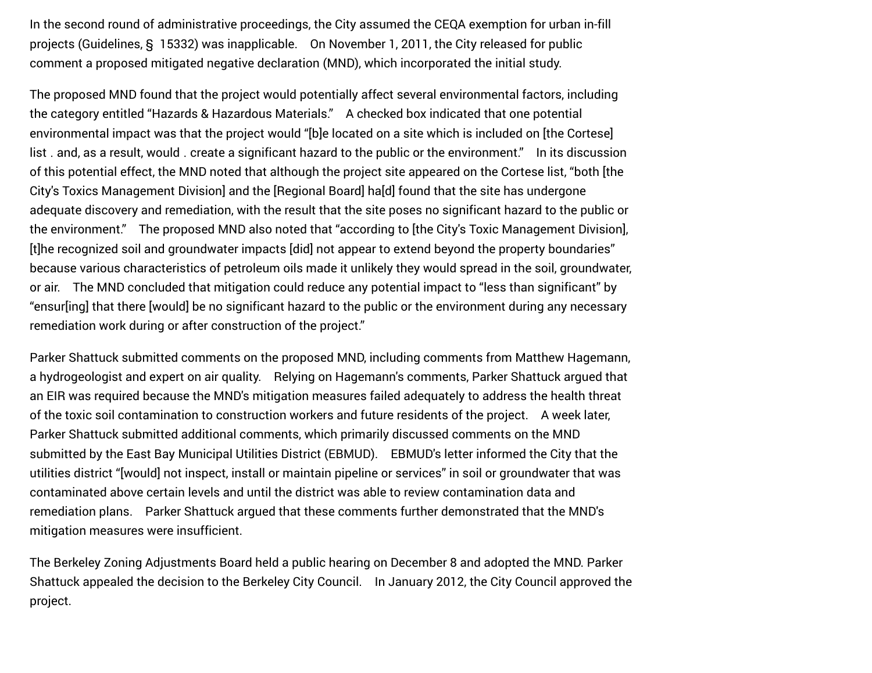In the second round of administrative proceedings, the City assumed the CEQA exemption for urban in-fill projects (Guidelines, § 15332) was inapplicable. On November 1, 2011, the City released for public comment a proposed mitigated negative declaration (MND), which incorporated the initial study.

The proposed MND found that the project would potentially affect several environmental factors, including the category entitled "Hazards & Hazardous Materials." A checked box indicated that one potential environmental impact was that the project would "[b]e located on a site which is included on [the Cortese] list ․ and, as a result, would ․ create a significant hazard to the public or the environment." In its discussion of this potential effect, the MND noted that although the project site appeared on the Cortese list, "both [the City's Toxics Management Division] and the [Regional Board] ha[d] found that the site has undergone adequate discovery and remediation, with the result that the site poses no significant hazard to the public or the environment." The proposed MND also noted that "according to [the City's Toxic Management Division], [t]he recognized soil and groundwater impacts [did] not appear to extend beyond the property boundaries" because various characteristics of petroleum oils made it unlikely they would spread in the soil, groundwater, or air. The MND concluded that mitigation could reduce any potential impact to "less than significant" by "ensur[ing] that there [would] be no significant hazard to the public or the environment during any necessary remediation work during or after construction of the project."

Parker Shattuck submitted comments on the proposed MND, including comments from Matthew Hagemann, a hydrogeologist and expert on air quality. Relying on Hagemann's comments, Parker Shattuck argued that an EIR was required because the MND's mitigation measures failed adequately to address the health threat of the toxic soil contamination to construction workers and future residents of the project. A week later, Parker Shattuck submitted additional comments, which primarily discussed comments on the MND submitted by the East Bay Municipal Utilities District (EBMUD). EBMUD's letter informed the City that the utilities district "[would] not inspect, install or maintain pipeline or services" in soil or groundwater that was contaminated above certain levels and until the district was able to review contamination data and remediation plans. Parker Shattuck argued that these comments further demonstrated that the MND's mitigation measures were insufficient.

The Berkeley Zoning Adjustments Board held a public hearing on December 8 and adopted the MND. Parker Shattuck appealed the decision to the Berkeley City Council. In January 2012, the City Council approved the project.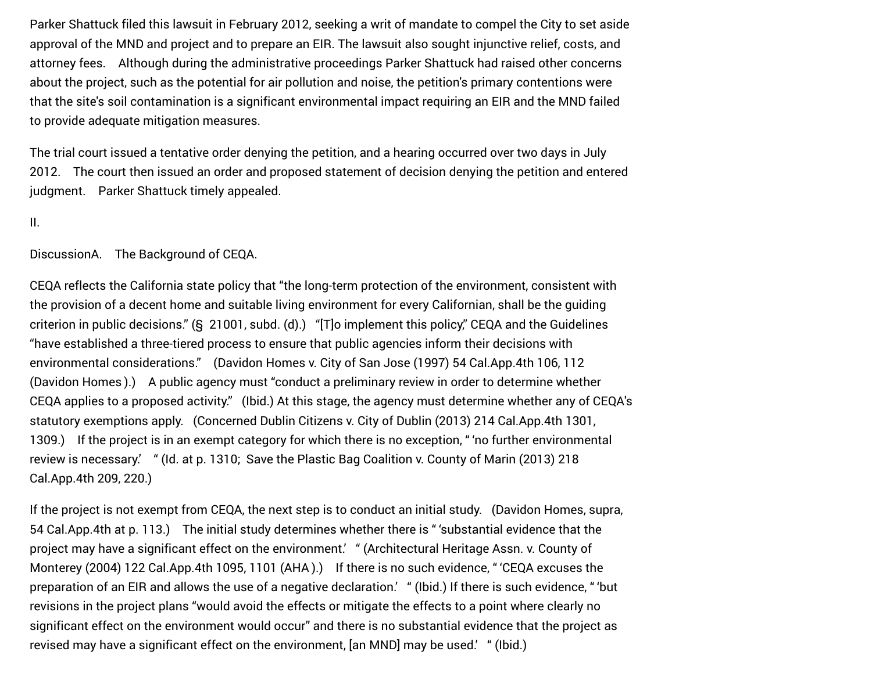Parker Shattuck filed this lawsuit in February 2012, seeking a writ of mandate to compel the City to set aside approval of the MND and project and to prepare an EIR. The lawsuit also sought injunctive relief, costs, and attorney fees. Although during the administrative proceedings Parker Shattuck had raised other concerns about the project, such as the potential for air pollution and noise, the petition's primary contentions were that the site's soil contamination is a significant environmental impact requiring an EIR and the MND failed to provide adequate mitigation measures.

The trial court issued a tentative order denying the petition, and a hearing occurred over two days in July 2012. The court then issued an order and proposed statement of decision denying the petition and entered judgment. Parker Shattuck timely appealed.

#### II.

DiscussionA. The Background of CEQA.

CEQA reflects the California state policy that "the long-term protection of the environment, consistent with the provision of a decent home and suitable living environment for every Californian, shall be the guiding criterion in public decisions." (§ 21001, subd. (d).) "[T]o implement this policy," CEQA and the Guidelines "have established a three-tiered process to ensure that public agencies inform their decisions with environmental considerations." (Davidon Homes v. City of San Jose (1997) 54 Cal.App.4th 106, 112 (Davidon Homes ).) A public agency must "conduct a preliminary review in order to determine whether CEQA applies to a proposed activity." (Ibid.) At this stage, the agency must determine whether any of CEQA's statutory exemptions apply. (Concerned Dublin Citizens v. City of Dublin (2013) 214 Cal.App.4th 1301, 1309.) If the project is in an exempt category for which there is no exception, " 'no further environmental review is necessary.' " (Id. at p. 1310;  Save the Plastic Bag Coalition v. County of Marin (2013) 218 Cal.App.4th 209, 220.)

If the project is not exempt from CEQA, the next step is to conduct an initial study. (Davidon Homes, supra, 54 Cal.App.4th at p. 113.) The initial study determines whether there is " 'substantial evidence that the project may have a significant effect on the environment.' " (Architectural Heritage Assn. v. County of Monterey (2004) 122 Cal.App.4th 1095, 1101 (AHA ).) If there is no such evidence, " 'CEQA excuses the preparation of an EIR and allows the use of a negative declaration.' " (Ibid.) If there is such evidence, " 'but revisions in the project plans "would avoid the effects or mitigate the effects to a point where clearly no significant effect on the environment would occur" and there is no substantial evidence that the project as revised may have a significant effect on the environment, [an MND] may be used.' " (Ibid.)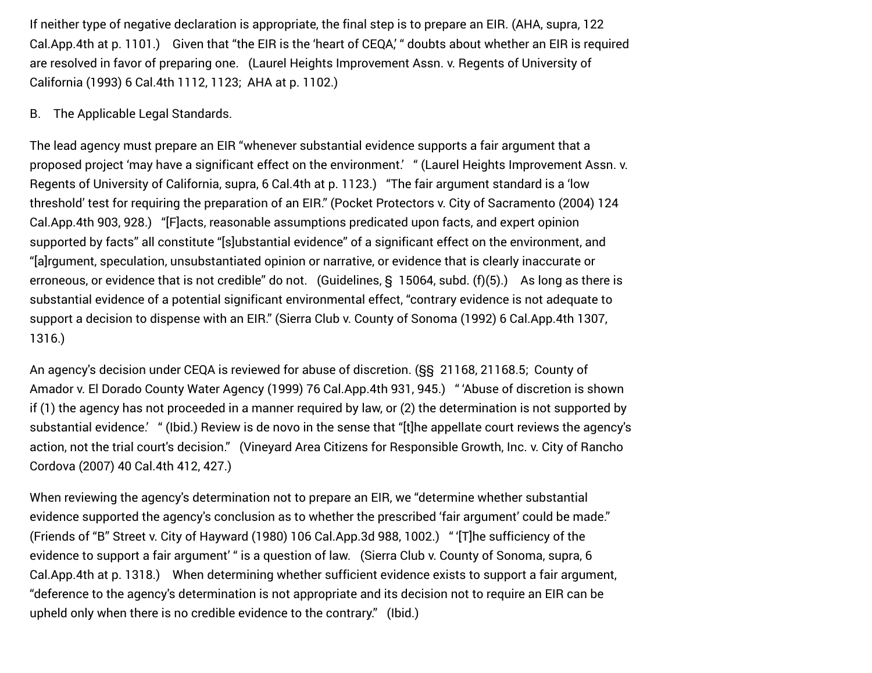If neither type of negative declaration is appropriate, the final step is to prepare an EIR. (AHA, supra, 122 Cal.App.4th at p. 1101.) Given that "the EIR is the 'heart of CEQA,' " doubts about whether an EIR is required are resolved in favor of preparing one. (Laurel Heights Improvement Assn. v. Regents of University of California (1993) 6 Cal.4th 1112, 1123;  AHA at p. 1102.)

#### B. The Applicable Legal Standards.

The lead agency must prepare an EIR "whenever substantial evidence supports a fair argument that a proposed project 'may have a significant effect on the environment.' " (Laurel Heights Improvement Assn. v. Regents of University of California, supra, 6 Cal.4th at p. 1123.) "The fair argument standard is a 'low threshold' test for requiring the preparation of an EIR." (Pocket Protectors v. City of Sacramento (2004) 124 Cal.App.4th 903, 928.) "[F]acts, reasonable assumptions predicated upon facts, and expert opinion supported by facts" all constitute "[s]ubstantial evidence" of a significant effect on the environment, and "[a]rgument, speculation, unsubstantiated opinion or narrative, or evidence that is clearly inaccurate or erroneous, or evidence that is not credible" do not. (Guidelines, § 15064, subd. (f)(5).) As long as there is substantial evidence of a potential significant environmental effect, "contrary evidence is not adequate to support a decision to dispense with an EIR." (Sierra Club v. County of Sonoma (1992) 6 Cal.App.4th 1307, 1316.)

An agency's decision under CEQA is reviewed for abuse of discretion. (§§ 21168, 21168.5;  County of Amador v. El Dorado County Water Agency (1999) 76 Cal.App.4th 931, 945.) " 'Abuse of discretion is shown if (1) the agency has not proceeded in a manner required by law, or (2) the determination is not supported by substantial evidence.' " (Ibid.) Review is de novo in the sense that "[t]he appellate court reviews the agency's action, not the trial court's decision." (Vineyard Area Citizens for Responsible Growth, Inc. v. City of Rancho Cordova (2007) 40 Cal.4th 412, 427.)

When reviewing the agency's determination not to prepare an EIR, we "determine whether substantial evidence supported the agency's conclusion as to whether the prescribed 'fair argument' could be made." (Friends of "B" Street v. City of Hayward (1980) 106 Cal.App.3d 988, 1002.) " '[T]he sufficiency of the evidence to support a fair argument' " is a question of law. (Sierra Club v. County of Sonoma, supra, 6 Cal.App.4th at p. 1318.) When determining whether sufficient evidence exists to support a fair argument, "deference to the agency's determination is not appropriate and its decision not to require an EIR can be upheld only when there is no credible evidence to the contrary." (Ibid.)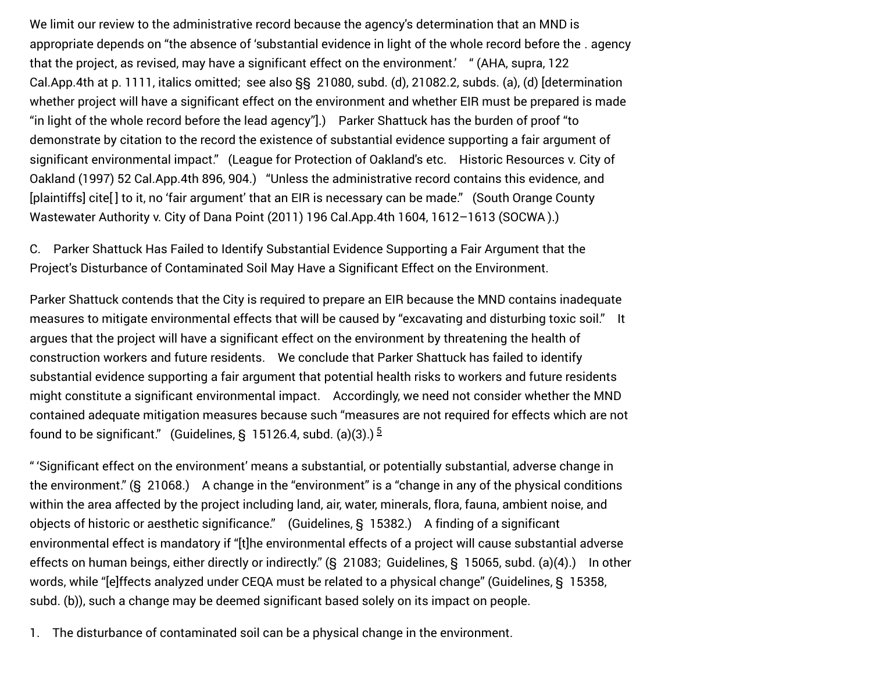We limit our review to the administrative record because the agency's determination that an MND is appropriate depends on "the absence of 'substantial evidence in light of the whole record before the ․ agency that the project, as revised, may have a significant effect on the environment.' " (AHA, supra, 122 Cal.App.4th at p. 1111, italics omitted;  see also §§ 21080, subd. (d), 21082.2, subds. (a), (d) [determination whether project will have a significant effect on the environment and whether EIR must be prepared is made "in light of the whole record before the lead agency"].) Parker Shattuck has the burden of proof "to demonstrate by citation to the record the existence of substantial evidence supporting a fair argument of significant environmental impact." (League for Protection of Oakland's etc. Historic Resources v. City of Oakland (1997) 52 Cal.App.4th 896, 904.) "Unless the administrative record contains this evidence, and [plaintiffs] cite<sup>[</sup>] to it, no 'fair argument' that an EIR is necessary can be made." (South Orange County Wastewater Authority v. City of Dana Point (2011) 196 Cal.App.4th 1604, 1612–1613 (SOCWA ).)

C. Parker Shattuck Has Failed to Identify Substantial Evidence Supporting a Fair Argument that the Project's Disturbance of Contaminated Soil May Have a Significant Effect on the Environment.

Parker Shattuck contends that the City is required to prepare an EIR because the MND contains inadequate measures to mitigate environmental effects that will be caused by "excavating and disturbing toxic soil." It argues that the project will have a significant effect on the environment by threatening the health of construction workers and future residents. We conclude that Parker Shattuck has failed to identify substantial evidence supporting a fair argument that potential health risks to workers and future residents might constitute a significant environmental impact. Accordingly, we need not consider whether the MND contained adequate mitigation measures because such "measures are not required for effects which are not found to be significant." (Guidelines, § 15126.4, subd. (a)(3).)  $^5$ 

<span id="page-6-0"></span>" 'Significant effect on the environment' means a substantial, or potentially substantial, adverse change in the environment." (§ 21068.) A change in the "environment" is a "change in any of the physical conditions within the area affected by the project including land, air, water, minerals, flora, fauna, ambient noise, and objects of historic or aesthetic significance." (Guidelines, § 15382.) A finding of a significant environmental effect is mandatory if "[t]he environmental effects of a project will cause substantial adverse effects on human beings, either directly or indirectly." (§ 21083;  Guidelines, § 15065, subd. (a)(4).) In other words, while "[e]ffects analyzed under CEQA must be related to a physical change" (Guidelines, § 15358, subd. (b)), such a change may be deemed significant based solely on its impact on people.

1. The disturbance of contaminated soil can be a physical change in the environment.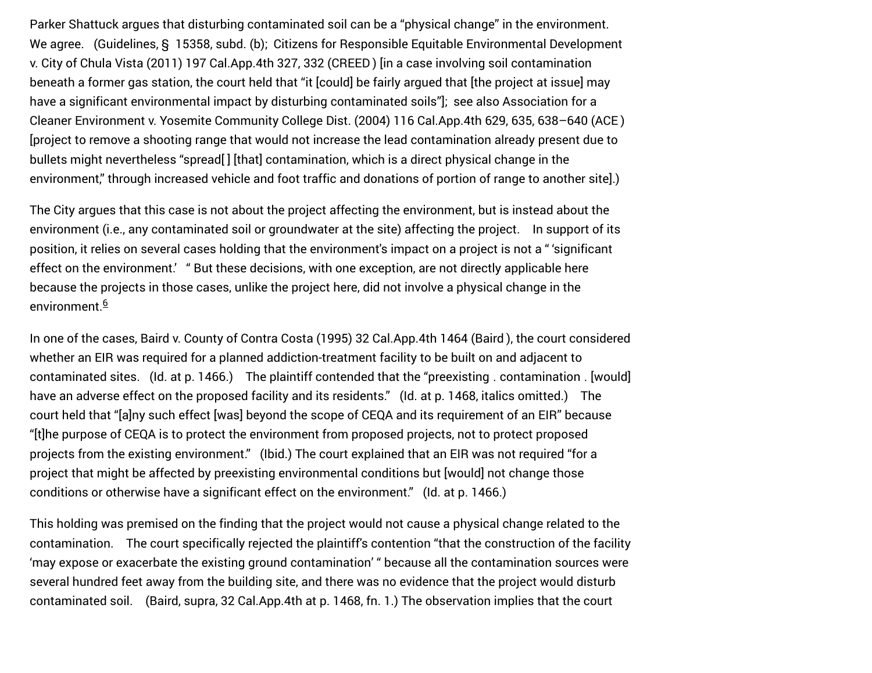Parker Shattuck argues that disturbing contaminated soil can be a "physical change" in the environment. We agree. (Guidelines, § 15358, subd. (b);  Citizens for Responsible Equitable Environmental Development v. City of Chula Vista (2011) 197 Cal.App.4th 327, 332 (CREED ) [in a case involving soil contamination beneath a former gas station, the court held that "it [could] be fairly argued that [the project at issue] may have a significant environmental impact by disturbing contaminated soils"];  see also Association for a Cleaner Environment v. Yosemite Community College Dist. (2004) 116 Cal.App.4th 629, 635, 638–640 (ACE ) [project to remove a shooting range that would not increase the lead contamination already present due to bullets might nevertheless "spread[ ] [that] contamination, which is a direct physical change in the environment," through increased vehicle and foot traffic and donations of portion of range to another site].)

The City argues that this case is not about the project affecting the environment, but is instead about the environment (i.e., any contaminated soil or groundwater at the site) affecting the project. In support of its position, it relies on several cases holding that the environment's impact on a project is not a " 'significant effect on the environment.' " But these decisions, with one exception, are not directly applicable here because the projects in those cases, unlike the project here, did not involve a physical change in the environment.<sup>6</sup>

<span id="page-7-0"></span>In one of the cases, Baird v. County of Contra Costa (1995) 32 Cal.App.4th 1464 (Baird ), the court considered whether an EIR was required for a planned addiction-treatment facility to be built on and adjacent to contaminated sites. (Id. at p. 1466.) The plaintiff contended that the "preexisting ․ contamination ․ [would] have an adverse effect on the proposed facility and its residents." (Id. at p. 1468, italics omitted.) The court held that "[a]ny such effect [was] beyond the scope of CEQA and its requirement of an EIR" because "[t]he purpose of CEQA is to protect the environment from proposed projects, not to protect proposed projects from the existing environment." (Ibid.) The court explained that an EIR was not required "for a project that might be affected by preexisting environmental conditions but [would] not change those conditions or otherwise have a significant effect on the environment." (Id. at p. 1466.)

This holding was premised on the finding that the project would not cause a physical change related to the contamination. The court specifically rejected the plaintiff's contention "that the construction of the facility 'may expose or exacerbate the existing ground contamination' " because all the contamination sources were several hundred feet away from the building site, and there was no evidence that the project would disturb contaminated soil. (Baird, supra, 32 Cal.App.4th at p. 1468, fn. 1.) The observation implies that the court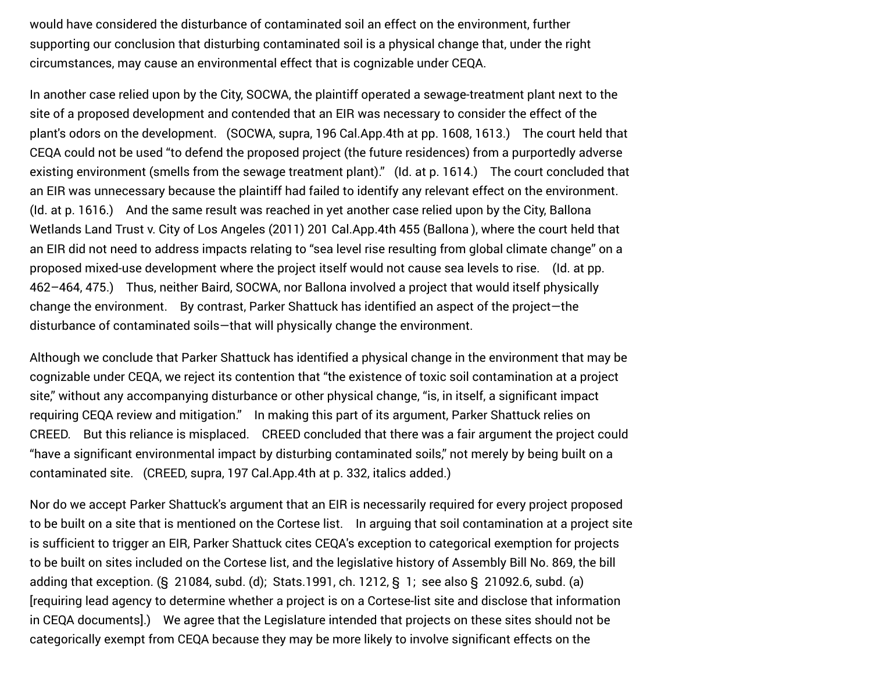would have considered the disturbance of contaminated soil an effect on the environment, further supporting our conclusion that disturbing contaminated soil is a physical change that, under the right circumstances, may cause an environmental effect that is cognizable under CEQA.

In another case relied upon by the City, SOCWA, the plaintiff operated a sewage-treatment plant next to the site of a proposed development and contended that an EIR was necessary to consider the effect of the plant's odors on the development. (SOCWA, supra, 196 Cal.App.4th at pp. 1608, 1613.) The court held that CEQA could not be used "to defend the proposed project (the future residences) from a purportedly adverse existing environment (smells from the sewage treatment plant)." (Id. at p. 1614.) The court concluded that an EIR was unnecessary because the plaintiff had failed to identify any relevant effect on the environment. (Id. at p. 1616.) And the same result was reached in yet another case relied upon by the City, Ballona Wetlands Land Trust v. City of Los Angeles (2011) 201 Cal.App.4th 455 (Ballona ), where the court held that an EIR did not need to address impacts relating to "sea level rise resulting from global climate change" on a proposed mixed-use development where the project itself would not cause sea levels to rise. (Id. at pp. 462–464, 475.) Thus, neither Baird, SOCWA, nor Ballona involved a project that would itself physically change the environment. By contrast, Parker Shattuck has identified an aspect of the project—the disturbance of contaminated soils—that will physically change the environment.

Although we conclude that Parker Shattuck has identified a physical change in the environment that may be cognizable under CEQA, we reject its contention that "the existence of toxic soil contamination at a project site," without any accompanying disturbance or other physical change, "is, in itself, a significant impact requiring CEQA review and mitigation." In making this part of its argument, Parker Shattuck relies on CREED. But this reliance is misplaced. CREED concluded that there was a fair argument the project could "have a significant environmental impact by disturbing contaminated soils," not merely by being built on a contaminated site. (CREED, supra, 197 Cal.App.4th at p. 332, italics added.)

Nor do we accept Parker Shattuck's argument that an EIR is necessarily required for every project proposed to be built on a site that is mentioned on the Cortese list. In arguing that soil contamination at a project site is sufficient to trigger an EIR, Parker Shattuck cites CEQA's exception to categorical exemption for projects to be built on sites included on the Cortese list, and the legislative history of Assembly Bill No. 869, the bill adding that exception. (§ 21084, subd. (d);  Stats.1991, ch. 1212, § 1;  see also § 21092.6, subd. (a) [requiring lead agency to determine whether a project is on a Cortese-list site and disclose that information in CEQA documents].) We agree that the Legislature intended that projects on these sites should not be categorically exempt from CEQA because they may be more likely to involve significant effects on the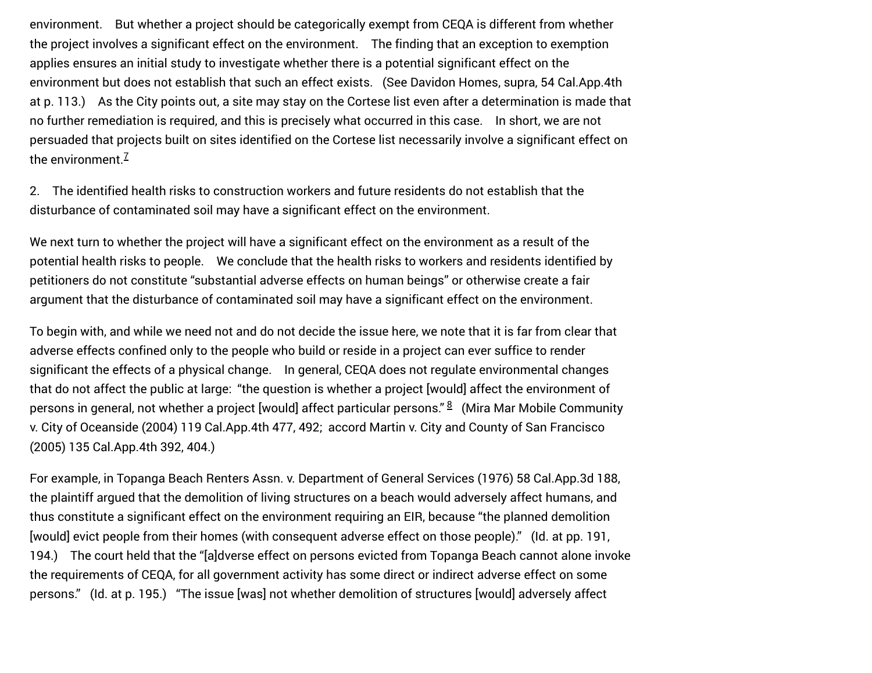environment. But whether a project should be categorically exempt from CEQA is different from whether the project involves a significant effect on the environment. The finding that an exception to exemption applies ensures an initial study to investigate whether there is a potential significant effect on the environment but does not establish that such an effect exists. (See Davidon Homes, supra, 54 Cal.App.4th at p. 113.) As the City points out, a site may stay on the Cortese list even after a determination is made that no further remediation is required, and this is precisely what occurred in this case. In short, we are not persuaded that projects built on sites identified on the Cortese list necessarily involve a significant effect on the environment.<sup>[7](#page-14-0)</sup>

<span id="page-9-0"></span>2. The identified health risks to construction workers and future residents do not establish that the disturbance of contaminated soil may have a significant effect on the environment.

We next turn to whether the project will have a significant effect on the environment as a result of the potential health risks to people. We conclude that the health risks to workers and residents identified by petitioners do not constitute "substantial adverse effects on human beings" or otherwise create a fair argument that the disturbance of contaminated soil may have a significant effect on the environment.

To begin with, and while we need not and do not decide the issue here, we note that it is far from clear that adverse effects confined only to the people who build or reside in a project can ever suffice to render significant the effects of a physical change. In general, CEQA does not regulate environmental changes that do not affect the public at large:  "the question is whether a project [would] affect the environment of persons in general, not whether a project [would] affect particular persons." <sup>8</sup> (Mira Mar Mobile Community v. City of Oceanside (2004) 119 Cal.App.4th 477, 492;  accord Martin v. City and County of San Francisco (2005) 135 Cal.App.4th 392, 404.)

<span id="page-9-1"></span>For example, in Topanga Beach Renters Assn. v. Department of General Services (1976) 58 Cal.App.3d 188, the plaintiff argued that the demolition of living structures on a beach would adversely affect humans, and thus constitute a significant effect on the environment requiring an EIR, because "the planned demolition [would] evict people from their homes (with consequent adverse effect on those people)." (Id. at pp. 191, 194.) The court held that the "[a]dverse effect on persons evicted from Topanga Beach cannot alone invoke the requirements of CEQA, for all government activity has some direct or indirect adverse effect on some persons." (Id. at p. 195.) "The issue [was] not whether demolition of structures [would] adversely affect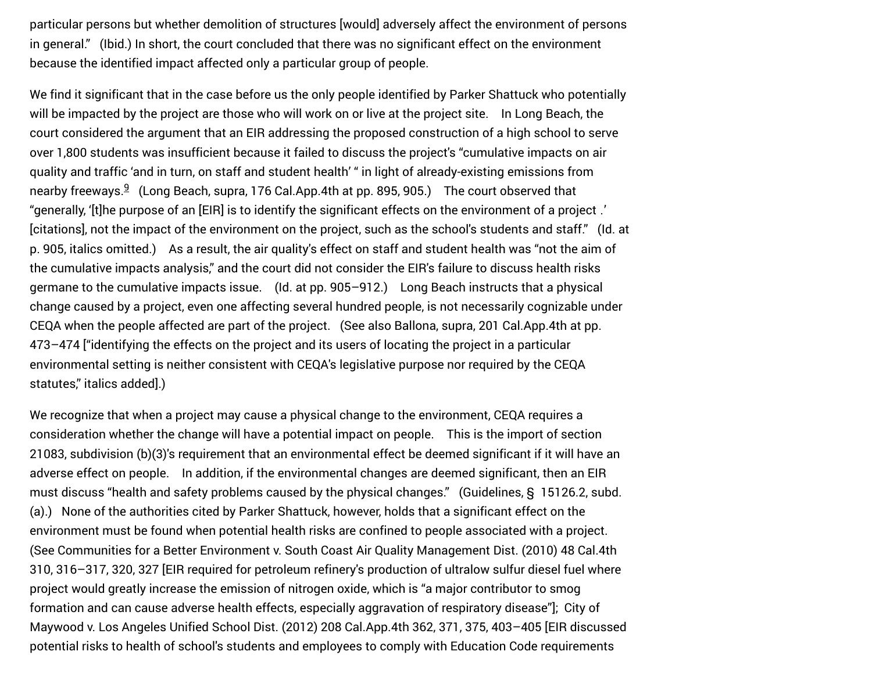particular persons but whether demolition of structures [would] adversely affect the environment of persons in general." (Ibid.) In short, the court concluded that there was no significant effect on the environment because the identified impact affected only a particular group of people.

<span id="page-10-0"></span>We find it significant that in the case before us the only people identified by Parker Shattuck who potentially will be impacted by the project are those who will work on or live at the project site. In Long Beach, the court considered the argument that an EIR addressing the proposed construction of a high school to serve over 1,800 students was insufficient because it failed to discuss the project's "cumulative impacts on air quality and traffic 'and in turn, on staff and student health' " in light of already-existing emissions from nearby freeways[.](#page-14-2) $9\,$  (Long Beach, supra, 176 Cal.App.4th at pp. 895, 905.) The court observed that "generally, '[t]he purpose of an [EIR] is to identify the significant effects on the environment of a project ․' [citations], not the impact of the environment on the project, such as the school's students and staff." (Id. at p. 905, italics omitted.) As a result, the air quality's effect on staff and student health was "not the aim of the cumulative impacts analysis," and the court did not consider the EIR's failure to discuss health risks germane to the cumulative impacts issue. (Id. at pp. 905–912.) Long Beach instructs that a physical change caused by a project, even one affecting several hundred people, is not necessarily cognizable under CEQA when the people affected are part of the project. (See also Ballona, supra, 201 Cal.App.4th at pp. 473–474 ["identifying the effects on the project and its users of locating the project in a particular environmental setting is neither consistent with CEQA's legislative purpose nor required by the CEQA statutes," italics added].)

We recognize that when a project may cause a physical change to the environment, CEQA requires a consideration whether the change will have a potential impact on people. This is the import of section 21083, subdivision (b)(3)'s requirement that an environmental effect be deemed significant if it will have an adverse effect on people. In addition, if the environmental changes are deemed significant, then an EIR must discuss "health and safety problems caused by the physical changes." (Guidelines, § 15126.2, subd. (a).) None of the authorities cited by Parker Shattuck, however, holds that a significant effect on the environment must be found when potential health risks are confined to people associated with a project. (See Communities for a Better Environment v. South Coast Air Quality Management Dist. (2010) 48 Cal.4th 310, 316–317, 320, 327 [EIR required for petroleum refinery's production of ultralow sulfur diesel fuel where project would greatly increase the emission of nitrogen oxide, which is "a major contributor to smog formation and can cause adverse health effects, especially aggravation of respiratory disease"];  City of Maywood v. Los Angeles Unified School Dist. (2012) 208 Cal.App.4th 362, 371, 375, 403–405 [EIR discussed potential risks to health of school's students and employees to comply with Education Code requirements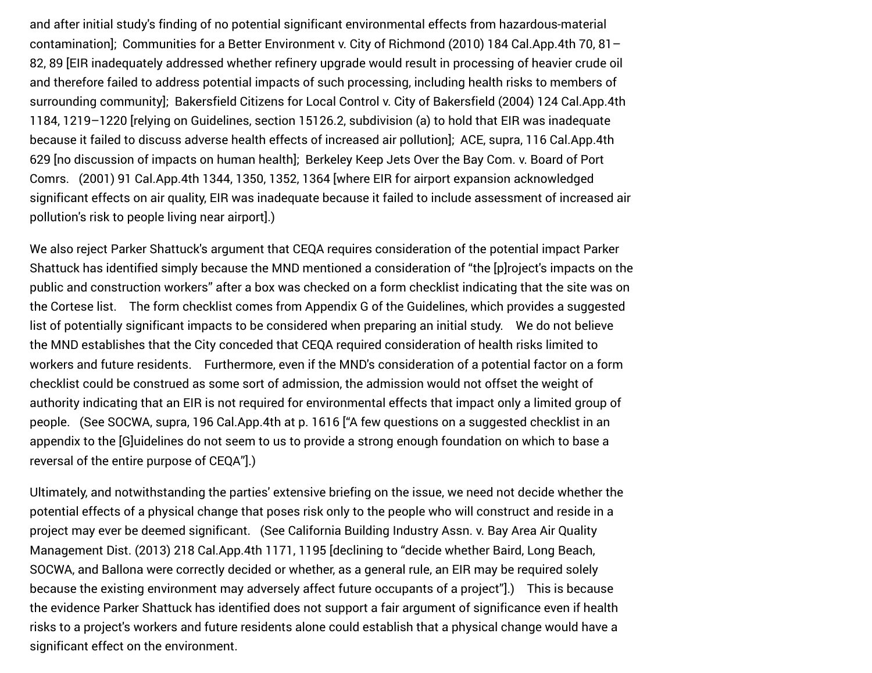and after initial study's finding of no potential significant environmental effects from hazardous-material contamination];  Communities for a Better Environment v. City of Richmond (2010) 184 Cal.App.4th 70, 81– 82, 89 [EIR inadequately addressed whether refinery upgrade would result in processing of heavier crude oil and therefore failed to address potential impacts of such processing, including health risks to members of surrounding community];  Bakersfield Citizens for Local Control v. City of Bakersfield (2004) 124 Cal.App.4th 1184, 1219–1220 [relying on Guidelines, section 15126.2, subdivision (a) to hold that EIR was inadequate because it failed to discuss adverse health effects of increased air pollution];  ACE, supra, 116 Cal.App.4th 629 [no discussion of impacts on human health];  Berkeley Keep Jets Over the Bay Com. v. Board of Port Comrs. (2001) 91 Cal.App.4th 1344, 1350, 1352, 1364 [where EIR for airport expansion acknowledged significant effects on air quality, EIR was inadequate because it failed to include assessment of increased air pollution's risk to people living near airport].)

We also reject Parker Shattuck's argument that CEQA requires consideration of the potential impact Parker Shattuck has identified simply because the MND mentioned a consideration of "the [p]roject's impacts on the public and construction workers" after a box was checked on a form checklist indicating that the site was on the Cortese list. The form checklist comes from Appendix G of the Guidelines, which provides a suggested list of potentially significant impacts to be considered when preparing an initial study. We do not believe the MND establishes that the City conceded that CEQA required consideration of health risks limited to workers and future residents. Furthermore, even if the MND's consideration of a potential factor on a form checklist could be construed as some sort of admission, the admission would not offset the weight of authority indicating that an EIR is not required for environmental effects that impact only a limited group of people. (See SOCWA, supra, 196 Cal.App.4th at p. 1616 ["A few questions on a suggested checklist in an appendix to the [G]uidelines do not seem to us to provide a strong enough foundation on which to base a reversal of the entire purpose of CEQA"].)

Ultimately, and notwithstanding the parties' extensive briefing on the issue, we need not decide whether the potential effects of a physical change that poses risk only to the people who will construct and reside in a project may ever be deemed significant. (See California Building Industry Assn. v. Bay Area Air Quality Management Dist. (2013) 218 Cal.App.4th 1171, 1195 [declining to "decide whether Baird, Long Beach, SOCWA, and Ballona were correctly decided or whether, as a general rule, an EIR may be required solely because the existing environment may adversely affect future occupants of a project"].) This is because the evidence Parker Shattuck has identified does not support a fair argument of significance even if health risks to a project's workers and future residents alone could establish that a physical change would have a significant effect on the environment.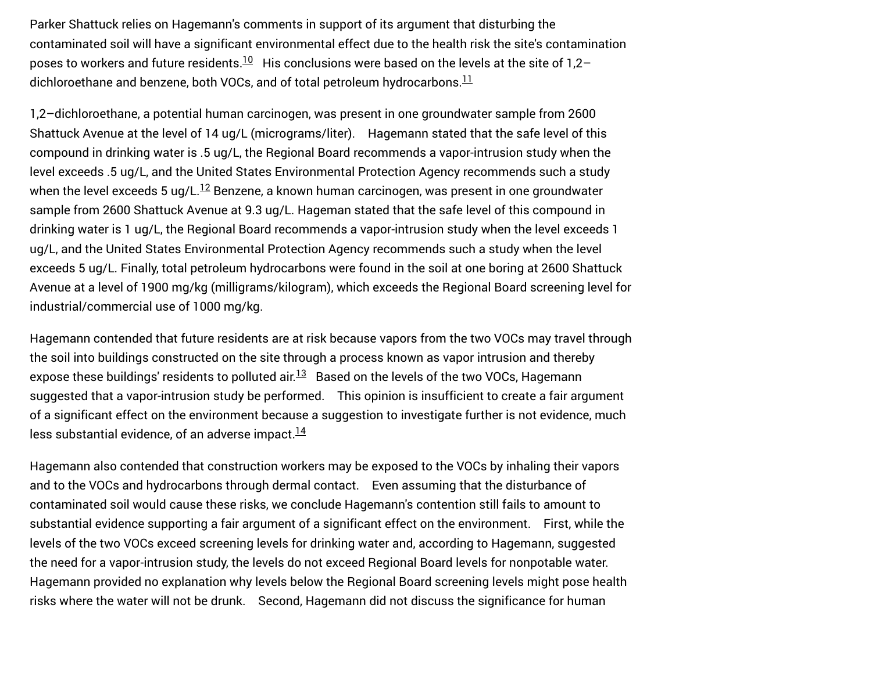<span id="page-12-0"></span>Parker Shattuck relies on Hagemann's comments in support of its argument that disturbing the contaminated soil will have a significant environmental effect due to the health risk the site's contamination poses to workers and future residents. $^{10}$  His conclusions were based on the levels at the site of 1,2– dichloroethane and benzene, both VOCs, and of total petroleum hydrocarbons.  $\frac{11}{1}$  $\frac{11}{1}$  $\frac{11}{1}$ 

<span id="page-12-2"></span><span id="page-12-1"></span>1,2–dichloroethane, a potential human carcinogen, was present in one groundwater sample from 2600 Shattuck Avenue at the level of 14 ug/L (micrograms/liter). Hagemann stated that the safe level of this compound in drinking water is .5 ug/L, the Regional Board recommends a vapor-intrusion study when the level exceeds .5 ug/L, and the United States Environmental Protection Agency recommends such a study whenthe level exceeds 5 ug/L. $^{12}$  Benzene, a known human carcinogen, was present in one groundwater sample from 2600 Shattuck Avenue at 9.3 ug/L. Hageman stated that the safe level of this compound in drinking water is 1 ug/L, the Regional Board recommends a vapor-intrusion study when the level exceeds 1 ug/L, and the United States Environmental Protection Agency recommends such a study when the level exceeds 5 ug/L. Finally, total petroleum hydrocarbons were found in the soil at one boring at 2600 Shattuck Avenue at a level of 1900 mg/kg (milligrams/kilogram), which exceeds the Regional Board screening level for industrial/commercial use of 1000 mg/kg.

<span id="page-12-3"></span>Hagemann contended that future residents are at risk because vapors from the two VOCs may travel through the soil into buildings constructed on the site through a process known as vapor intrusion and thereby expose these buildings' residents to polluted air. $^{13}$  Based on the levels of the two VOCs, Hagemann suggested that a vapor-intrusion study be performed. This opinion is insufficient to create a fair argument of a significant effect on the environment because a suggestion to investigate further is not evidence, much less substantial evidence, of an adverse impact.<sup>[14](#page-15-0)</sup>

<span id="page-12-4"></span>Hagemann also contended that construction workers may be exposed to the VOCs by inhaling their vapors and to the VOCs and hydrocarbons through dermal contact. Even assuming that the disturbance of contaminated soil would cause these risks, we conclude Hagemann's contention still fails to amount to substantial evidence supporting a fair argument of a significant effect on the environment. First, while the levels of the two VOCs exceed screening levels for drinking water and, according to Hagemann, suggested the need for a vapor-intrusion study, the levels do not exceed Regional Board levels for nonpotable water. Hagemann provided no explanation why levels below the Regional Board screening levels might pose health risks where the water will not be drunk. Second, Hagemann did not discuss the significance for human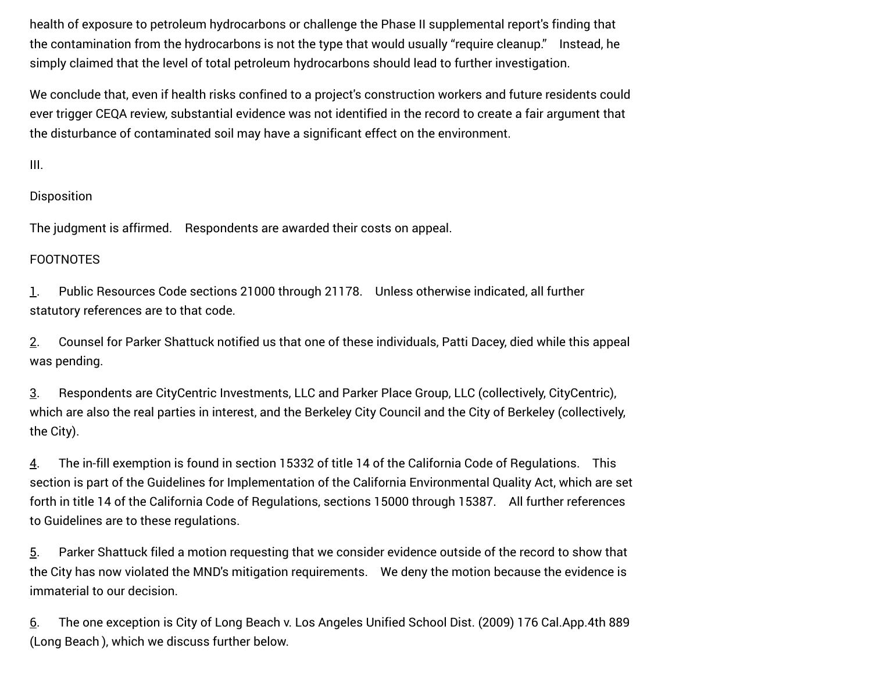health of exposure to petroleum hydrocarbons or challenge the Phase II supplemental report's finding that the contamination from the hydrocarbons is not the type that would usually "require cleanup." Instead, he simply claimed that the level of total petroleum hydrocarbons should lead to further investigation.

We conclude that, even if health risks confined to a project's construction workers and future residents could ever trigger CEQA review, substantial evidence was not identified in the record to create a fair argument that the disturbance of contaminated soil may have a significant effect on the environment.

III.

## Disposition

The judgment is affirmed. Respondents are awarded their costs on appeal.

## FOOTNOTES

<span id="page-13-0"></span>[1](#page-0-0). Public Resources Code sections 21000 through 21178. Unless otherwise indicated, all further statutory references are to that code.

<span id="page-13-1"></span>[2](#page-0-1). Counsel for Parker Shattuck notified us that one of these individuals, Patti Dacey, died while this appeal was pending.

<span id="page-13-2"></span>[3](#page-1-0). Respondents are CityCentric Investments, LLC and Parker Place Group, LLC (collectively, CityCentric), which are also the real parties in interest, and the Berkeley City Council and the City of Berkeley (collectively, the City).

<span id="page-13-3"></span>[4](#page-2-0). The in-fill exemption is found in section 15332 of title 14 of the California Code of Regulations. This section is part of the Guidelines for Implementation of the California Environmental Quality Act, which are set forth in title 14 of the California Code of Regulations, sections 15000 through 15387. All further references to Guidelines are to these regulations.

<span id="page-13-4"></span>[5](#page-6-0). Parker Shattuck filed a motion requesting that we consider evidence outside of the record to show that the City has now violated the MND's mitigation requirements. We deny the motion because the evidence is immaterial to our decision.

<span id="page-13-5"></span>[6](#page-7-0). The one exception is City of Long Beach v. Los Angeles Unified School Dist. (2009) 176 Cal.App.4th 889 (Long Beach ), which we discuss further below.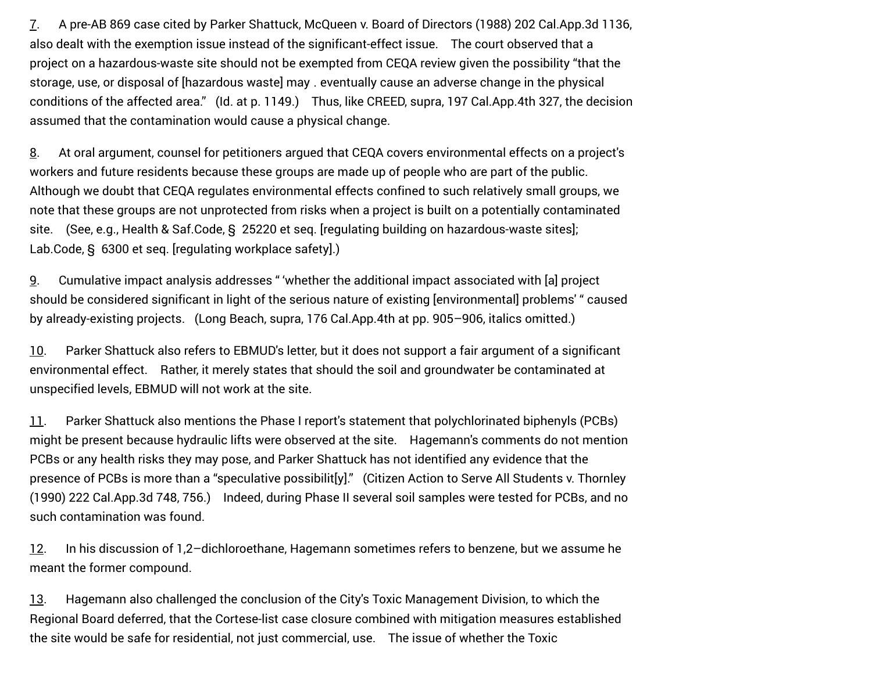<span id="page-14-0"></span>[7](#page-9-0). A pre-AB 869 case cited by Parker Shattuck, McQueen v. Board of Directors (1988) 202 Cal.App.3d 1136, also dealt with the exemption issue instead of the significant-effect issue. The court observed that a project on a hazardous-waste site should not be exempted from CEQA review given the possibility "that the storage, use, or disposal of [hazardous waste] may ․ eventually cause an adverse change in the physical conditions of the affected area." (Id. at p. 1149.) Thus, like CREED, supra, 197 Cal.App.4th 327, the decision assumed that the contamination would cause a physical change.

<span id="page-14-1"></span>[8](#page-9-1). At oral argument, counsel for petitioners argued that CEQA covers environmental effects on a project's workers and future residents because these groups are made up of people who are part of the public. Although we doubt that CEQA regulates environmental effects confined to such relatively small groups, we note that these groups are not unprotected from risks when a project is built on a potentially contaminated site. (See, e.g., Health & Saf.Code, § 25220 et seq. [regulating building on hazardous-waste sites];   Lab.Code, § 6300 et seq. [regulating workplace safety].)

<span id="page-14-2"></span>[9](#page-10-0). Cumulative impact analysis addresses " 'whether the additional impact associated with [a] project should be considered significant in light of the serious nature of existing [environmental] problems' " caused by already-existing projects. (Long Beach, supra, 176 Cal.App.4th at pp. 905–906, italics omitted.)

<span id="page-14-3"></span>[10.](#page-12-0) Parker Shattuck also refers to EBMUD's letter, but it does not support a fair argument of a significant environmental effect. Rather, it merely states that should the soil and groundwater be contaminated at unspecified levels, EBMUD will not work at the site.

<span id="page-14-4"></span>[11.](#page-12-1) Parker Shattuck also mentions the Phase I report's statement that polychlorinated biphenyls (PCBs) might be present because hydraulic lifts were observed at the site. Hagemann's comments do not mention PCBs or any health risks they may pose, and Parker Shattuck has not identified any evidence that the presence of PCBs is more than a "speculative possibilit[y]." (Citizen Action to Serve All Students v. Thornley (1990) 222 Cal.App.3d 748, 756.) Indeed, during Phase II several soil samples were tested for PCBs, and no such contamination was found.

<span id="page-14-5"></span>[12.](#page-12-2) In his discussion of 1,2–dichloroethane, Hagemann sometimes refers to benzene, but we assume he meant the former compound.

<span id="page-14-6"></span>[13.](#page-12-3) Hagemann also challenged the conclusion of the City's Toxic Management Division, to which the Regional Board deferred, that the Cortese-list case closure combined with mitigation measures established the site would be safe for residential, not just commercial, use. The issue of whether the Toxic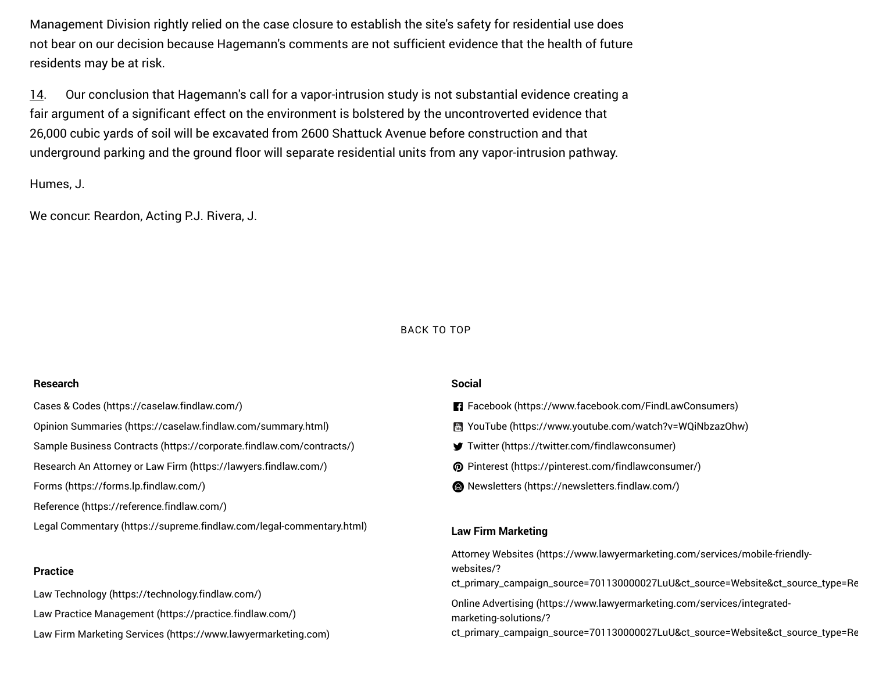Management Division rightly relied on the case closure to establish the site's safety for residential use does not bear on our decision because Hagemann's comments are not sufficient evidence that the health of future residents may be at risk.

<span id="page-15-0"></span>[14.](#page-12-4) Our conclusion that Hagemann's call for a vapor-intrusion study is not substantial evidence creating a fair argument of a significant effect on the environment is bolstered by the uncontroverted evidence that 26,000 cubic yards of soil will be excavated from 2600 Shattuck Avenue before construction and that underground parking and the ground floor will separate residential units from any vapor-intrusion pathway.

Humes, J.

We concur: Reardon, Acting P.J. Rivera, J.

#### BACK TO TOP

#### **Research**

[Cases & Codes \(https://caselaw.findlaw.com/\)](https://caselaw.findlaw.com/) [Opinion Summaries \(https://caselaw.findlaw.com/summary.html\)](https://caselaw.findlaw.com/summary.html)

[Sample Business Contracts \(https://corporate.findlaw.com/contracts/\)](https://corporate.findlaw.com/contracts/)

[Research An Attorney or Law Firm \(https://lawyers.findlaw.com/\)](https://lawyers.findlaw.com/)

[Forms \(https://forms.lp.findlaw.com/\)](https://forms.lp.findlaw.com/)

[Reference \(https://reference.findlaw.com/\)](https://reference.findlaw.com/)

[Legal Commentary \(https://supreme.findlaw.com/legal-commentary.html\)](https://supreme.findlaw.com/legal-commentary.html)

#### **Practice**

[Law Technology \(https://technology.findlaw.com/\)](https://technology.findlaw.com/)

[Law Practice Management \(https://practice.findlaw.com/\)](https://practice.findlaw.com/)

[Law Firm Marketing Services \(https://www.lawyermarketing.com\)](https://www.lawyermarketing.com/)

#### **Social**

- [Facebook \(https://www.facebook.com/FindLawConsumers\)](https://www.facebook.com/FindLawConsumers) ll
- [YouTube \(https://www.youtube.com/watch?v=WQiNbzazOhw\)](https://www.youtube.com/watch?v=WQiNbzazOhw) ~
- [Twitter \(https://twitter.com/findlawconsumer\)](https://twitter.com/findlawconsumer)
- [Pinterest \(https://pinterest.com/findlawconsumer/\)](https://pinterest.com/findlawconsumer/)
- [Newsletters \(https://newsletters.findlaw.com/\)](https://newsletters.findlaw.com/)

### **Law Firm Marketing**

Attorney Websites (https://www.lawyermarketing.com/services/mobile-friendlywebsites/?

[ct\\_primary\\_campaign\\_source=701130000027LuU&ct\\_source=Website&ct\\_source\\_type=Re](https://www.lawyermarketing.com/services/mobile-friendly-websites/?ct_primary_campaign_source=701130000027LuU&ct_source=Website&ct_source_type=Referral)

Online Advertising (https://www.lawyermarketing.com/services/integratedmarketing-solutions/?

[ct\\_primary\\_campaign\\_source=701130000027LuU&ct\\_source=Website&ct\\_source\\_type=Re](https://www.lawyermarketing.com/services/integrated-marketing-solutions/?ct_primary_campaign_source=701130000027LuU&ct_source=Website&ct_source_type=Referral)